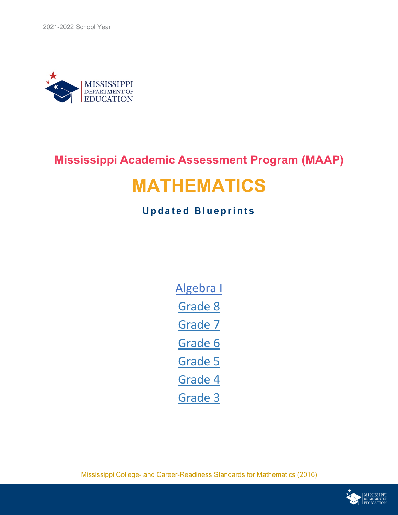

### **Mississippi Academic Assessment Program (MAAP)**

## **MATHEMATICS**

### **Updated Blueprints**

[Algebra I](#page-2-0) [Grade 8](#page-3-0) [Grade 7](#page-4-0) [Grade 6](#page-5-0) [Grade 5](#page-6-0) [Grade 4](#page-7-0) [Grade 3](#page-8-0)

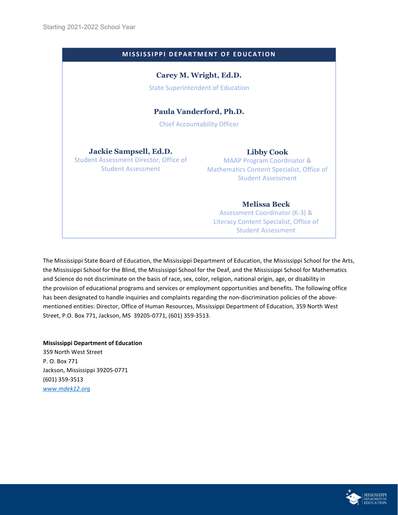| <b>MISSISSIPPI DEPARTMENT OF EDUCATION</b>                                                           |                                                                                                                                             |  |  |  |  |
|------------------------------------------------------------------------------------------------------|---------------------------------------------------------------------------------------------------------------------------------------------|--|--|--|--|
|                                                                                                      | Carey M. Wright, Ed.D.<br><b>State Superintendent of Education</b>                                                                          |  |  |  |  |
| Paula Vanderford, Ph.D.<br><b>Chief Accountability Officer</b>                                       |                                                                                                                                             |  |  |  |  |
| Jackie Sampsell, Ed.D.<br><b>Student Assessment Director, Office of</b><br><b>Student Assessment</b> | <b>Libby Cook</b><br><b>MAAP Program Coordinator &amp;</b><br><b>Mathematics Content Specialist, Office of</b><br><b>Student Assessment</b> |  |  |  |  |
|                                                                                                      | <b>Melissa Beck</b><br>Assessment Coordinator (K-3) &<br>Literacy Content Specialist, Office of                                             |  |  |  |  |

Student Assessment

The Mississippi State Board of Education, the Mississippi Department of Education, the Mississippi School for the Arts, the Mississippi School for the Blind, the Mississippi School for the Deaf, and the Mississippi School for Mathematics and Science do not discriminate on the basis of race, sex, color, religion, national origin, age, or disability in the provision of educational programs and services or employment opportunities and benefits. The following office has been designated to handle inquiries and complaints regarding the non-discrimination policies of the abovementioned entities: Director, Office of Human Resources, Mississippi Department of Education, 359 North West Street, P.O. Box 771, Jackson, MS 39205‑0771, (601) 359-3513.

### **Mississippi Department of Education**

359 North West Street P. O. Box 771 Jackson, Mississippi 39205-0771 (601) 359-3513 *[www.mdek12.org](http://www.mdek12.org/)*

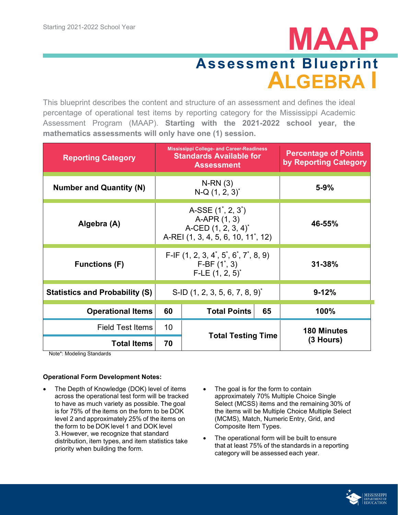# <span id="page-2-0"></span>**MAAP Assessment Blueprint ALGEBRA I**

This blueprint describes the content and structure of an assessment and defines the ideal percentage of operational test items by reporting category for the Mississippi Academic Assessment Program (MAAP). **Starting with the 2021-2022 school year, the mathematics assessments will only have one (1) session.**

| <b>Reporting Category</b>             | <b>Mississippi College- and Career-Readiness</b><br><b>Standards Available for</b><br><b>Assessment</b>                           |                           | <b>Percentage of Points</b><br>by Reporting Category |                    |
|---------------------------------------|-----------------------------------------------------------------------------------------------------------------------------------|---------------------------|------------------------------------------------------|--------------------|
| <b>Number and Quantity (N)</b>        | $N-RN(3)$<br>$N-Q(1, 2, 3)$ <sup>*</sup>                                                                                          |                           | $5 - 9%$                                             |                    |
| Algebra (A)                           | A-SSE $(1^{\star}, 2, 3^{\star})$<br>A-APR (1, 3)<br>A-CED $(1, 2, 3, 4)^*$<br>A-REI (1, 3, 4, 5, 6, 10, 11 <sup>*</sup> , 12)    |                           | 46-55%                                               |                    |
| <b>Functions (F)</b>                  | $F-IF$ (1, 2, 3, 4 <sup>*</sup> , 5 <sup>*</sup> , 6 <sup>*</sup> , 7 <sup>*</sup> , 8, 9)<br>$F-BF(1^*, 3)$<br>$F-LE(1, 2, 5)^*$ |                           | $31 - 38%$                                           |                    |
| <b>Statistics and Probability (S)</b> | S-ID $(1, 2, 3, 5, 6, 7, 8, 9)^{*}$                                                                                               |                           | $9 - 12%$                                            |                    |
| <b>Operational Items</b>              | 65<br>60<br><b>Total Points</b>                                                                                                   |                           | 100%                                                 |                    |
| <b>Field Test Items</b>               | 10                                                                                                                                | <b>Total Testing Time</b> |                                                      | <b>180 Minutes</b> |
| <b>Total Items</b>                    | 70                                                                                                                                |                           |                                                      | $(3$ Hours)        |

Note\*: Modeling Standards

- The Depth of Knowledge (DOK) level of items across the operational test form will be tracked to have as much variety as possible. The goal is for 75% of the items on the form to be DOK level 2 and approximately 25% of the items on the form to be DOK level 1 and DOK level 3. However, we recognize that standard distribution, item types, and item statistics take priority when building the form.
- The goal is for the form to contain approximately 70% Multiple Choice Single Select (MCSS) items and the remaining 30% of the items will be Multiple Choice Multiple Select (MCMS), Match, Numeric Entry, Grid, and Composite Item Types.
- The operational form will be built to ensure that at least 75% of the standards in a reporting category will be assessed each year.

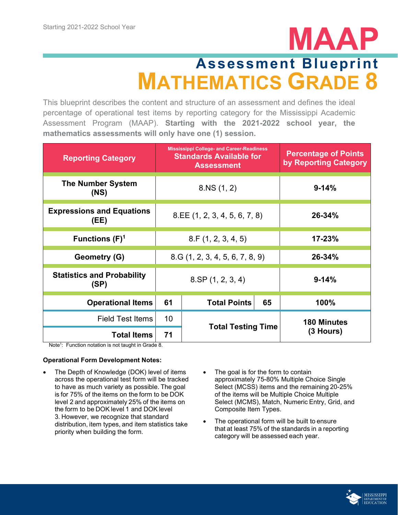## <span id="page-3-0"></span>**Assessment Blueprint MATHEMATICS GRADE 8**

This blueprint describes the content and structure of an assessment and defines the ideal percentage of operational test items by reporting category for the Mississippi Academic Assessment Program (MAAP). **Starting with the 2021-2022 school year, the mathematics assessments will only have one (1) session.**

| <b>Reporting Category</b>                 | <b>Mississippi College- and Career-Readiness</b><br><b>Standards Available for</b><br><b>Assessment</b> |                           |        | <b>Percentage of Points</b><br>by Reporting Category |
|-------------------------------------------|---------------------------------------------------------------------------------------------------------|---------------------------|--------|------------------------------------------------------|
| <b>The Number System</b><br>(NS)          | 8.NS(1, 2)                                                                                              |                           |        | $9 - 14%$                                            |
| <b>Expressions and Equations</b><br>(EE)  | 8.EE (1, 2, 3, 4, 5, 6, 7, 8)                                                                           |                           |        | $26 - 34%$                                           |
| Functions $(F)^1$                         | 8.F(1, 2, 3, 4, 5)                                                                                      |                           |        | $17 - 23%$                                           |
| Geometry (G)                              | 8.G(1, 2, 3, 4, 5, 6, 7, 8, 9)                                                                          |                           | 26-34% |                                                      |
| <b>Statistics and Probability</b><br>(SP) |                                                                                                         | $8.\text{SP}(1, 2, 3, 4)$ |        | $9 - 14%$                                            |
| <b>Operational Items</b>                  | 61                                                                                                      | <b>Total Points</b>       | 65     | 100%                                                 |
| <b>Field Test Items</b>                   | 10                                                                                                      | <b>Total Testing Time</b> |        | <b>180 Minutes</b>                                   |
| <b>Total Items</b>                        | 71                                                                                                      |                           |        | (3 Hours)                                            |

Note<sup>1</sup>: Function notation is not taught in Grade 8.

- The Depth of Knowledge (DOK) level of items across the operational test form will be tracked to have as much variety as possible. The goal is for 75% of the items on the form to be DOK level 2 and approximately 25% of the items on the form to be DOK level 1 and DOK level 3. However, we recognize that standard distribution, item types, and item statistics take priority when building the form.
- The goal is for the form to contain approximately 75-80% Multiple Choice Single Select (MCSS) items and the remaining 20-25% of the items will be Multiple Choice Multiple Select (MCMS), Match, Numeric Entry, Grid, and Composite Item Types.
- The operational form will be built to ensure that at least 75% of the standards in a reporting category will be assessed each year.

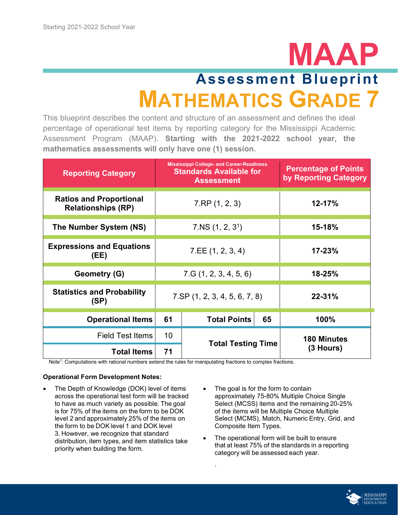## <span id="page-4-0"></span>**Assessment Blueprint MATHEMATICS GRADE 7**

This blueprint describes the content and structure of an assessment and defines the ideal percentage of operational test items by reporting category for the Mississippi Academic Assessment Program (MAAP). **Starting with the 2021-2022 school year, the mathematics assessments will only have one (1) session.**

| <b>Reporting Category</b>                                   | <b>Mississippi College- and Career-Readiness</b><br><b>Standards Available for</b><br><b>Assessment</b> |                                    | <b>Percentage of Points</b><br>by Reporting Category |                    |
|-------------------------------------------------------------|---------------------------------------------------------------------------------------------------------|------------------------------------|------------------------------------------------------|--------------------|
| <b>Ratios and Proportional</b><br><b>Relationships (RP)</b> | 7.RP(1, 2, 3)                                                                                           |                                    | $12 - 17%$                                           |                    |
| The Number System (NS)                                      | 7.NS(1, 2, 3 <sup>1</sup> )                                                                             |                                    | 15-18%                                               |                    |
| <b>Expressions and Equations</b><br>(EE)                    | 7.EE(1, 2, 3, 4)                                                                                        |                                    | 17-23%                                               |                    |
| Geometry (G)                                                | 7.G(1, 2, 3, 4, 5, 6)                                                                                   |                                    | 18-25%                                               |                    |
| <b>Statistics and Probability</b><br>(SP)                   |                                                                                                         | $7.$ SP $(1, 2, 3, 4, 5, 6, 7, 8)$ |                                                      | $22 - 31%$         |
| <b>Operational Items</b>                                    | 61                                                                                                      | <b>Total Points</b>                | 65                                                   | 100%               |
| <b>Field Test Items</b>                                     | 10                                                                                                      | <b>Total Testing Time</b>          |                                                      | <b>180 Minutes</b> |
| <b>Total Items</b>                                          | 71                                                                                                      |                                    |                                                      | (3 Hours)          |

. 

Note1 : Computations with rational numbers extend the rules for manipulating fractions to complex fractions.

- The Depth of Knowledge (DOK) level of items across the operational test form will be tracked to have as much variety as possible. The goal is for 75% of the items on the form to be DOK level 2 and approximately 25% of the items on the form to be DOK level 1 and DOK level 3. However, we recognize that standard distribution, item types, and item statistics take priority when building the form.
- The goal is for the form to contain approximately 75-80% Multiple Choice Single Select (MCSS) items and the remaining 20-25% of the items will be Multiple Choice Multiple Select (MCMS), Match, Numeric Entry, Grid, and Composite Item Types.
- The operational form will be built to ensure that at least 75% of the standards in a reporting category will be assessed each year.

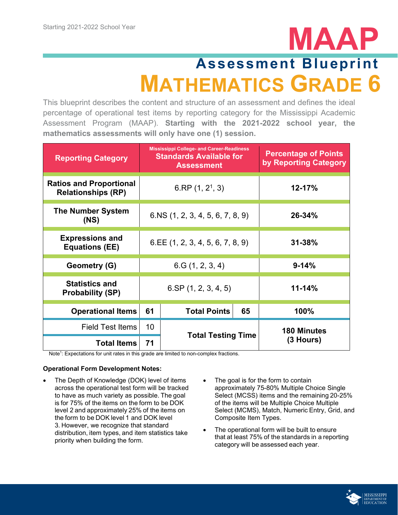# <span id="page-5-0"></span>**MAAP Assessment Blueprint MATHEMATICS GRADE 6**

This blueprint describes the content and structure of an assessment and defines the ideal percentage of operational test items by reporting category for the Mississippi Academic Assessment Program (MAAP). **Starting with the 2021-2022 school year, the mathematics assessments will only have one (1) session.**

| <b>Reporting Category</b>                                   |                                    | <b>Mississippi College- and Career-Readiness</b><br><b>Standards Available for</b><br><b>Assessment</b> | <b>Percentage of Points</b><br>by Reporting Category |                    |
|-------------------------------------------------------------|------------------------------------|---------------------------------------------------------------------------------------------------------|------------------------------------------------------|--------------------|
| <b>Ratios and Proportional</b><br><b>Relationships (RP)</b> | 6.RP $(1, 2^1, 3)$                 |                                                                                                         |                                                      | 12-17%             |
| <b>The Number System</b><br>(NS)                            | $6.NS$ (1, 2, 3, 4, 5, 6, 7, 8, 9) |                                                                                                         |                                                      | 26-34%             |
| <b>Expressions and</b><br><b>Equations (EE)</b>             |                                    | $6.EE$ (1, 2, 3, 4, 5, 6, 7, 8, 9)                                                                      |                                                      | $31 - 38%$         |
| Geometry (G)                                                |                                    | 6.G(1, 2, 3, 4)                                                                                         |                                                      | $9 - 14%$          |
| <b>Statistics and</b><br><b>Probability (SP)</b>            |                                    | $6.$ SP $(1, 2, 3, 4, 5)$                                                                               |                                                      | $11 - 14%$         |
| <b>Operational Items</b>                                    | 61                                 | <b>Total Points</b>                                                                                     | 65                                                   | 100%               |
| <b>Field Test Items</b>                                     | 10                                 | <b>Total Testing Time</b>                                                                               |                                                      | <b>180 Minutes</b> |
| <b>Total Items</b>                                          | 71                                 |                                                                                                         |                                                      | (3 Hours)          |

Note<sup>1</sup>: Expectations for unit rates in this grade are limited to non-complex fractions.

- The Depth of Knowledge (DOK) level of items across the operational test form will be tracked to have as much variety as possible. The goal is for 75% of the items on the form to be DOK level 2 and approximately 25% of the items on the form to be DOK level 1 and DOK level 3. However, we recognize that standard distribution, item types, and item statistics take priority when building the form.
- The goal is for the form to contain approximately 75-80% Multiple Choice Single Select (MCSS) items and the remaining 20-25% of the items will be Multiple Choice Multiple Select (MCMS), Match, Numeric Entry, Grid, and Composite Item Types.
- The operational form will be built to ensure that at least 75% of the standards in a reporting category will be assessed each year.

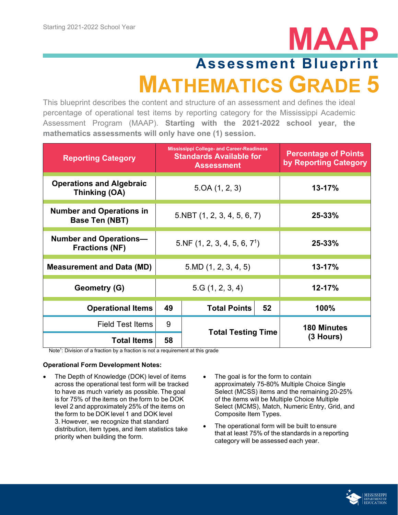## <span id="page-6-0"></span>**Assessment Blueprint MATHEMATICS GRADE 5**

This blueprint describes the content and structure of an assessment and defines the ideal percentage of operational test items by reporting category for the Mississippi Academic Assessment Program (MAAP). **Starting with the 2021-2022 school year, the mathematics assessments will only have one (1) session.**

| <b>Reporting Category</b>                              | <b>Mississippi College- and Career-Readiness</b><br><b>Standards Available for</b><br><b>Assessment</b> |                           | <b>Percentage of Points</b><br>by Reporting Category |                    |
|--------------------------------------------------------|---------------------------------------------------------------------------------------------------------|---------------------------|------------------------------------------------------|--------------------|
| <b>Operations and Algebraic</b><br>Thinking (OA)       | 5.0A(1, 2, 3)                                                                                           |                           | $13 - 17%$                                           |                    |
| <b>Number and Operations in</b><br>Base Ten (NBT)      | 5.NBT(1, 2, 3, 4, 5, 6, 7)                                                                              |                           |                                                      | 25-33%             |
| <b>Number and Operations-</b><br><b>Fractions (NF)</b> | 5.NF(1, 2, 3, 4, 5, 6, 7 <sup>1</sup> )                                                                 |                           | 25-33%                                               |                    |
| <b>Measurement and Data (MD)</b>                       | 5.MD(1, 2, 3, 4, 5)                                                                                     |                           | 13-17%                                               |                    |
| <b>Geometry (G)</b>                                    |                                                                                                         | 5.G(1, 2, 3, 4)           |                                                      | $12 - 17%$         |
| <b>Operational Items</b>                               | 49                                                                                                      | <b>Total Points</b>       | 52                                                   | 100%               |
| <b>Field Test Items</b>                                | 9                                                                                                       | <b>Total Testing Time</b> |                                                      | <b>180 Minutes</b> |
| <b>Total Items</b>                                     | 58                                                                                                      |                           |                                                      | $(3$ Hours)        |

Note<sup>1</sup>: Division of a fraction by a fraction is not a requirement at this grade

- The Depth of Knowledge (DOK) level of items across the operational test form will be tracked to have as much variety as possible. The goal is for 75% of the items on the form to be DOK level 2 and approximately 25% of the items on the form to be DOK level 1 and DOK level 3. However, we recognize that standard distribution, item types, and item statistics take priority when building the form.
- The goal is for the form to contain approximately 75-80% Multiple Choice Single Select (MCSS) items and the remaining 20-25% of the items will be Multiple Choice Multiple Select (MCMS), Match, Numeric Entry, Grid, and Composite Item Types.
- The operational form will be built to ensure that at least 75% of the standards in a reporting category will be assessed each year.

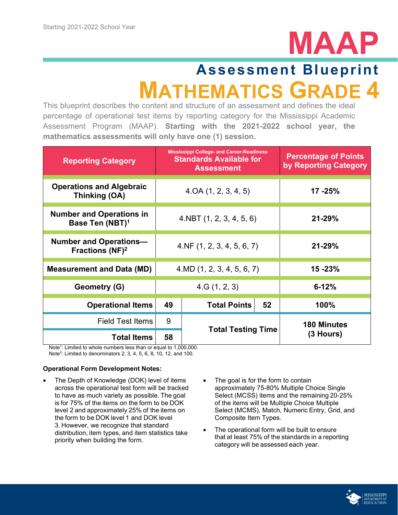

## <span id="page-7-0"></span>**MATHEMATICS GRADE Assessment Blueprint**

This blueprint describes the content and structure of an assessment and defines the ideal percentage of operational test items by reporting category for the Mississippi Academic Assessment Program (MAAP). **Starting with the 2021-2022 school year, the mathematics assessments will only have one (1) session.**

| <b>Reporting Category</b>                                      | <b>Mississippi College- and Career-Readiness</b><br><b>Standards Available for</b><br><b>Assessment</b> |                           |            | <b>Percentage of Points</b><br>by Reporting Category |
|----------------------------------------------------------------|---------------------------------------------------------------------------------------------------------|---------------------------|------------|------------------------------------------------------|
| <b>Operations and Algebraic</b><br>Thinking (OA)               | 4.0A(1, 2, 3, 4, 5)                                                                                     |                           |            | $17 - 25%$                                           |
| <b>Number and Operations in</b><br>Base Ten (NBT) <sup>1</sup> | $4.$ NBT $(1, 2, 3, 4, 5, 6)$                                                                           |                           |            | $21 - 29%$                                           |
| <b>Number and Operations-</b><br>Fractions (NF) <sup>2</sup>   | 4.NF(1, 2, 3, 4, 5, 6, 7)                                                                               |                           | $21 - 29%$ |                                                      |
| <b>Measurement and Data (MD)</b>                               | 4.MD(1, 2, 3, 4, 5, 6, 7)                                                                               |                           | $15 - 23%$ |                                                      |
| Geometry (G)                                                   | 4.G(1, 2, 3)                                                                                            |                           | $6 - 12%$  |                                                      |
| <b>Operational Items</b>                                       | 49                                                                                                      | <b>Total Points</b>       | 52         | 100%                                                 |
| <b>Field Test Items</b>                                        | 9                                                                                                       | <b>Total Testing Time</b> |            | <b>180 Minutes</b>                                   |
| <b>Total Items</b>                                             | 58                                                                                                      |                           |            | (3 Hours)                                            |

Note<sup>1</sup>: Limited to whole numbers less than or equal to 1,000,000. Note<sup>2</sup>: Limited to denominators 2, 3, 4, 5, 6, 8, 10, 12, and 100.

- The Depth of Knowledge (DOK) level of items across the operational test form will be tracked to have as much variety as possible. The goal is for 75% of the items on the form to be DOK level 2 and approximately 25% of the items on the form to be DOK level 1 and DOK level 3. However, we recognize that standard distribution, item types, and item statistics take priority when building the form.
- The goal is for the form to contain approximately 75-80% Multiple Choice Single Select (MCSS) items and the remaining 20-25% of the items will be Multiple Choice Multiple Select (MCMS), Match, Numeric Entry, Grid, and Composite Item Types.
- The operational form will be built to ensure that at least 75% of the standards in a reporting category will be assessed each year.